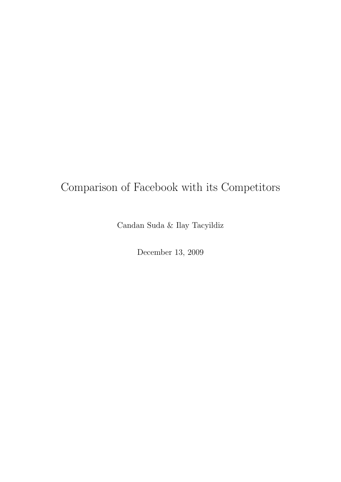## Comparison of Facebook with its Competitors

Candan Suda & Ilay Tacyildiz

December 13, 2009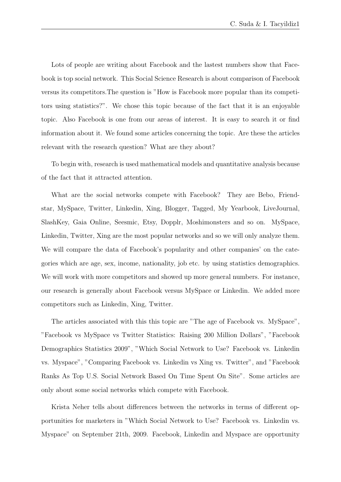Lots of people are writing about Facebook and the lastest numbers show that Facebook is top social network. This Social Science Research is about comparison of Facebook versus its competitors.The question is "How is Facebook more popular than its competitors using statistics?". We chose this topic because of the fact that it is an enjoyable topic. Also Facebook is one from our areas of interest. It is easy to search it or find information about it. We found some articles concerning the topic. Are these the articles relevant with the research question? What are they about?

To begin with, research is used mathematical models and quantitative analysis because of the fact that it attracted attention.

What are the social networks compete with Facebook? They are Bebo, Friendstar, MySpace, Twitter, Linkedin, Xing, Blogger, Tagged, My Yearbook, LiveJournal, SlashKey, Gaia Online, Seesmic, Etsy, Dopplr, Moshimonsters and so on. MySpace, Linkedin, Twitter, Xing are the most popular networks and so we will only analyze them. We will compare the data of Facebook's popularity and other companies' on the categories which are age, sex, income, nationality, job etc. by using statistics demographics. We will work with more competitors and showed up more general numbers. For instance, our research is generally about Facebook versus MySpace or Linkedin. We added more competitors such as Linkedin, Xing, Twitter.

The articles associated with this this topic are "The age of Facebook vs. MySpace", "Facebook vs MySpace vs Twitter Statistics: Raising 200 Million Dollars", "Facebook Demographics Statistics 2009", "Which Social Network to Use? Facebook vs. Linkedin vs. Myspace", "Comparing Facebook vs. Linkedin vs Xing vs. Twitter", and "Facebook Ranks As Top U.S. Social Network Based On Time Spent On Site". Some articles are only about some social networks which compete with Facebook.

Krista Neher tells about differences between the networks in terms of different opportunities for marketers in "Which Social Network to Use? Facebook vs. Linkedin vs. Myspace" on September 21th, 2009. Facebook, Linkedin and Myspace are opportunity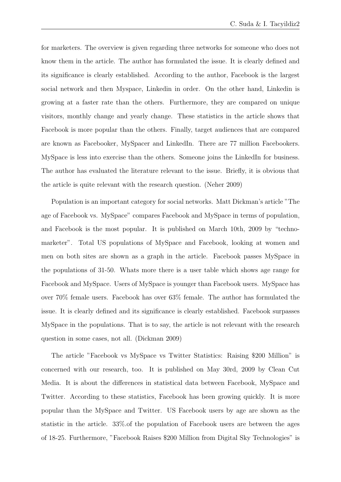for marketers. The overview is given regarding three networks for someone who does not know them in the article. The author has formulated the issue. It is clearly defined and its significance is clearly established. According to the author, Facebook is the largest social network and then Myspace, Linkedin in order. On the other hand, Linkedin is growing at a faster rate than the others. Furthermore, they are compared on unique visitors, monthly change and yearly change. These statistics in the article shows that Facebook is more popular than the others. Finally, target audiences that are compared are known as Facebooker, MySpacer and LinkedIn. There are 77 million Facebookers. MySpace is less into exercise than the others. Someone joins the LinkedIn for business. The author has evaluated the literature relevant to the issue. Briefly, it is obvious that the article is quite relevant with the research question. (Neher 2009)

Population is an important category for social networks. Matt Dickman's article "The age of Facebook vs. MySpace" compares Facebook and MySpace in terms of population, and Facebook is the most popular. It is published on March 10th, 2009 by "technomarketer". Total US populations of MySpace and Facebook, looking at women and men on both sites are shown as a graph in the article. Facebook passes MySpace in the populations of 31-50. Whats more there is a user table which shows age range for Facebook and MySpace. Users of MySpace is younger than Facebook users. MySpace has over 70% female users. Facebook has over 63% female. The author has formulated the issue. It is clearly defined and its significance is clearly established. Facebook surpasses MySpace in the populations. That is to say, the article is not relevant with the research question in some cases, not all. (Dickman 2009)

The article "Facebook vs MySpace vs Twitter Statistics: Raising \$200 Million" is concerned with our research, too. It is published on May 30rd, 2009 by Clean Cut Media. It is about the differences in statistical data between Facebook, MySpace and Twitter. According to these statistics, Facebook has been growing quickly. It is more popular than the MySpace and Twitter. US Facebook users by age are shown as the statistic in the article. 33%.of the population of Facebook users are between the ages of 18-25. Furthermore, "Facebook Raises \$200 Million from Digital Sky Technologies" is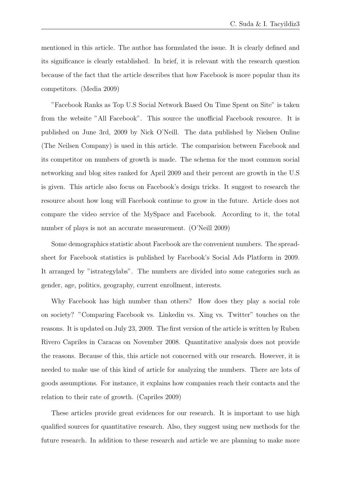mentioned in this article. The author has formulated the issue. It is clearly defined and its significance is clearly established. In brief, it is relevant with the research question because of the fact that the article describes that how Facebook is more popular than its competitors. (Media 2009)

"Facebook Ranks as Top U.S Social Network Based On Time Spent on Site" is taken from the website "All Facebook". This source the unofficial Facebook resource. It is published on June 3rd, 2009 by Nick O'Neill. The data published by Nielsen Online (The Neilsen Company) is used in this article. The comparision between Facebook and its competitor on numbers of growth is made. The schema for the most common social networking and blog sites ranked for April 2009 and their percent are growth in the U.S is given. This article also focus on Facebook's design tricks. It suggest to research the resource about how long will Facebook continue to grow in the future. Article does not compare the video service of the MySpace and Facebook. According to it, the total number of plays is not an accurate measurement. (O'Neill 2009)

Some demographics statistic about Facebook are the convenient numbers. The spreadsheet for Facebook statistics is published by Facebook's Social Ads Platform in 2009. It arranged by "istrategylabs". The numbers are divided into some categories such as gender, age, politics, geography, current enrollment, interests.

Why Facebook has high number than others? How does they play a social role on society? "Comparing Facebook vs. Linkedin vs. Xing vs. Twitter" touches on the reasons. It is updated on July 23, 2009. The first version of the article is written by Ruben Rivero Capriles in Caracas on November 2008. Quantitative analysis does not provide the reasons. Because of this, this article not concerned with our research. However, it is needed to make use of this kind of article for analyzing the numbers. There are lots of goods assumptions. For instance, it explains how companies reach their contacts and the relation to their rate of growth. (Capriles 2009)

These articles provide great evidences for our research. It is important to use high qualified sources for quantitative research. Also, they suggest using new methods for the future research. In addition to these research and article we are planning to make more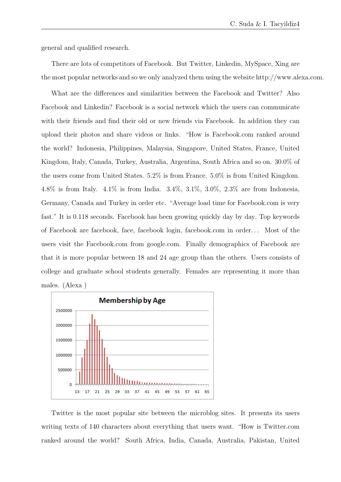general and qualified research.

There are lots of competitors of Facebook. But Twitter, Linkedin, MySpace, Xing are the most popular networks and so we only analyzed them using the website http://www.alexa.com.

What are the differences and similarities between the Facebook and Twitter? Also Facebook and Linkedin? Facebook is a social network which the users can communicate with their friends and find their old or new friends via Facebook. In addition they can upload their photos and share videos or links. "How is Facebook.com ranked around the world? Indonesia, Philippines, Malaysia, Singapore, United States, France, United Kingdom, Italy, Canada, Turkey, Australia, Argentina, South Africa and so on. 30.0% of the users come from United States. 5.2% is from France. 5.0% is from United Kingdom. 4.8% is from Italy. 4.1% is from India. 3.4%, 3.1%, 3.0%, 2.3% are from Indonesia, Germany, Canada and Turkey in order etc. "Average load time for Facebook.com is very fast." It is 0.118 seconds. Facebook has been growing quickly day by day. Top keywords of Facebook are facebook, face, facebook login, facebook.com in order. . . Most of the users visit the Facebook.com from google.com. Finally demographics of Facebook are that it is more popular between 18 and 24 age group than the others. Users consists of college and graduate school students generally. Females are representing it more than males. (Alexa )



Twitter is the most popular site between the microblog sites. It presents its users writing texts of 140 characters about everything that users want. "How is Twitter.com ranked around the world? South Africa, India, Canada, Australia, Pakistan, United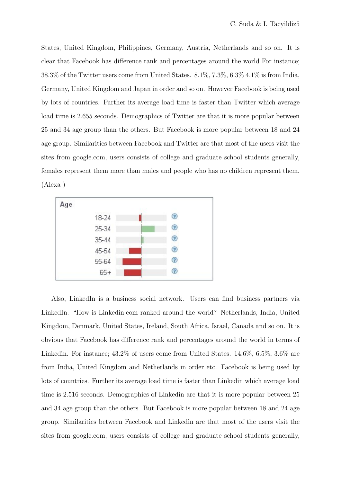States, United Kingdom, Philippines, Germany, Austria, Netherlands and so on. It is clear that Facebook has difference rank and percentages around the world For instance; 38.3% of the Twitter users come from United States. 8.1%, 7.3%, 6.3% 4.1% is from India, Germany, United Kingdom and Japan in order and so on. However Facebook is being used by lots of countries. Further its average load time is faster than Twitter which average load time is 2.655 seconds. Demographics of Twitter are that it is more popular between 25 and 34 age group than the others. But Facebook is more popular between 18 and 24 age group. Similarities between Facebook and Twitter are that most of the users visit the sites from google.com, users consists of college and graduate school students generally, females represent them more than males and people who has no children represent them. (Alexa )



Also, LinkedIn is a business social network. Users can find business partners via LinkedIn. "How is Linkedin.com ranked around the world? Netherlands, India, United Kingdom, Denmark, United States, Ireland, South Africa, Israel, Canada and so on. It is obvious that Facebook has difference rank and percentages around the world in terms of Linkedin. For instance;  $43.2\%$  of users come from United States.  $14.6\%$ ,  $6.5\%$ ,  $3.6\%$  are from India, United Kingdom and Netherlands in order etc. Facebook is being used by lots of countries. Further its average load time is faster than Linkedin which average load time is 2.516 seconds. Demographics of Linkedin are that it is more popular between 25 and 34 age group than the others. But Facebook is more popular between 18 and 24 age group. Similarities between Facebook and Linkedin are that most of the users visit the sites from google.com, users consists of college and graduate school students generally,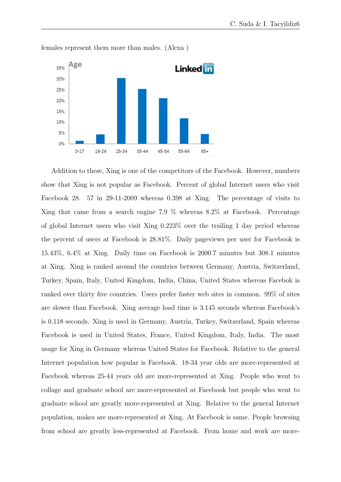

females represent them more than males. (Alexa )

Addition to these, Xing is one of the competitors of the Facebook. However, numbers show that Xing is not popular as Facebook. Percent of global Internet users who visit Facebook 28. 57 in 29-11-2009 whereas 0.398 at Xing. The percentage of visits to Xing that came from a search engine 7.9 % whereas 8.2% at Facebook. Percentage of global Internet users who visit Xing 0.223% over the trailing 1 day period whereas the percent of users at Facebook is 28.81%. Daily pageviews per user for Facebook is 15.43%, 6.4% at Xing. Daily time on Facebook is 2000.7 minutes but 308.1 minutes at Xing. Xing is ranked around the countries between Germany, Austria, Switzerland, Turkey, Spain, Italy, United Kingdom, India, China, United States whereas Facebok is ranked over thirty five countries. Users prefer faster web sites in common. 99% of sites are slower than Facebook. Xing average load time is 3.145 seconds whereas Facebook's is 0.118 seconds. Xing is used in Germany, Austria, Turkey, Switzerland, Spain whereas Facebook is used in United States, France, United Kingdom, Italy, India. The most usage for Xing in Germany whereas United States for Facebook. Relative to the general Internet population how popular is Facebook. 18-34 year olds are more-represented at Facebook whereas 25-44 years old are more-represented at Xing. People who went to collage and graduate school are more-represented at Facebook but people who went to graduate school are greatly more-represented at Xing. Relative to the general Internet population, makes are more-represented at Xing. At Facebook is same. People browsing from school are greatly less-represented at Facebook. From home and work are more-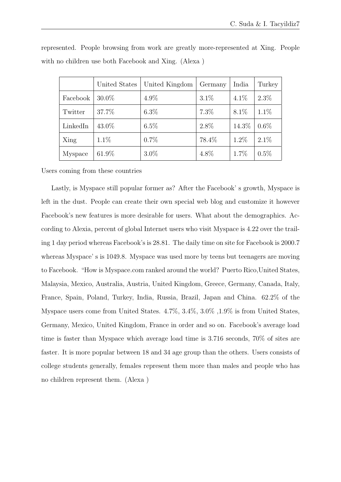|          | United States | United Kingdom | Germany | India   | Turkey  |
|----------|---------------|----------------|---------|---------|---------|
| Facebook | 30.0%         | $4.9\%$        | $3.1\%$ | $4.1\%$ | $2.3\%$ |
| Twitter  | 37.7%         | $6.3\%$        | $7.3\%$ | $8.1\%$ | $1.1\%$ |
| LinkedIn | 43.0%         | $6.5\%$        | $2.8\%$ | 14.3%   | $0.6\%$ |
| Xing     | $1.1\%$       | $0.7\%$        | 78.4%   | $1.2\%$ | $2.1\%$ |
| Myspace  | $61.9\%$      | $3.0\%$        | 4.8%    | 1.7%    | $0.5\%$ |

represented. People browsing from work are greatly more-represented at Xing. People with no children use both Facebook and Xing. (Alexa )

Users coming from these countries

Lastly, is Myspace still popular former as? After the Facebook' s growth, Myspace is left in the dust. People can create their own special web blog and customize it however Facebook's new features is more desirable for users. What about the demographics. According to Alexia, percent of global Internet users who visit Myspace is 4.22 over the trailing 1 day period whereas Facebook's is 28.81. The daily time on site for Facebook is 2000.7 whereas Myspace' s is 1049.8. Myspace was used more by teens but teenagers are moving to Facebook. "How is Myspace.com ranked around the world? Puerto Rico,United States, Malaysia, Mexico, Australia, Austria, United Kingdom, Greece, Germany, Canada, Italy, France, Spain, Poland, Turkey, India, Russia, Brazil, Japan and China. 62.2% of the Myspace users come from United States. 4.7%, 3.4%, 3.0% ,1.9% is from United States, Germany, Mexico, United Kingdom, France in order and so on. Facebook's average load time is faster than Myspace which average load time is 3.716 seconds, 70% of sites are faster. It is more popular between 18 and 34 age group than the others. Users consists of college students generally, females represent them more than males and people who has no children represent them. (Alexa )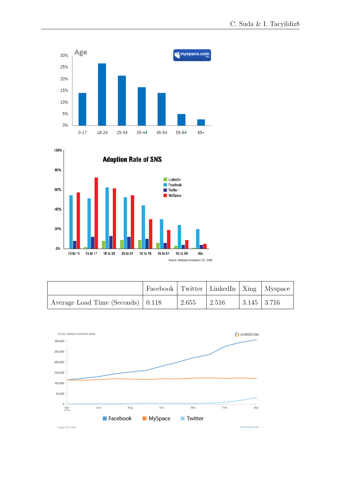



|                                   | Facebook Twitter LinkedIn   Xing   Myspace |       |         |             |  |
|-----------------------------------|--------------------------------------------|-------|---------|-------------|--|
| Average Load Time (Seconds) 0.118 |                                            | 2.655 | $2.516$ | 3.145 3.716 |  |

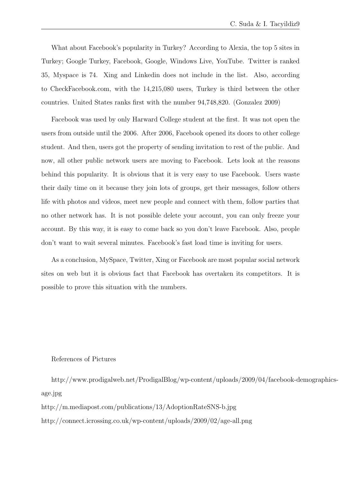What about Facebook's popularity in Turkey? According to Alexia, the top 5 sites in Turkey; Google Turkey, Facebook, Google, Windows Live, YouTube. Twitter is ranked 35, Myspace is 74. Xing and Linkedin does not include in the list. Also, according to CheckFacebook.com, with the 14,215,080 users, Turkey is third between the other countries. United States ranks first with the number 94,748,820. (Gonzalez 2009)

Facebook was used by only Harward College student at the first. It was not open the users from outside until the 2006. After 2006, Facebook opened its doors to other college student. And then, users got the property of sending invitation to rest of the public. And now, all other public network users are moving to Facebook. Lets look at the reasons behind this popularity. It is obvious that it is very easy to use Facebook. Users waste their daily time on it because they join lots of groups, get their messages, follow others life with photos and videos, meet new people and connect with them, follow parties that no other network has. It is not possible delete your account, you can only freeze your account. By this way, it is easy to come back so you don't leave Facebook. Also, people don't want to wait several minutes. Facebook's fast load time is inviting for users.

As a conclusion, MySpace, Twitter, Xing or Facebook are most popular social network sites on web but it is obvious fact that Facebook has overtaken its competitors. It is possible to prove this situation with the numbers.

## References of Pictures

http://www.prodigalweb.net/ProdigalBlog/wp-content/uploads/2009/04/facebook-demographicsage.jpg

http://m.mediapost.com/publications/13/AdoptionRateSNS-b.jpg

http://connect.icrossing.co.uk/wp-content/uploads/2009/02/age-all.png